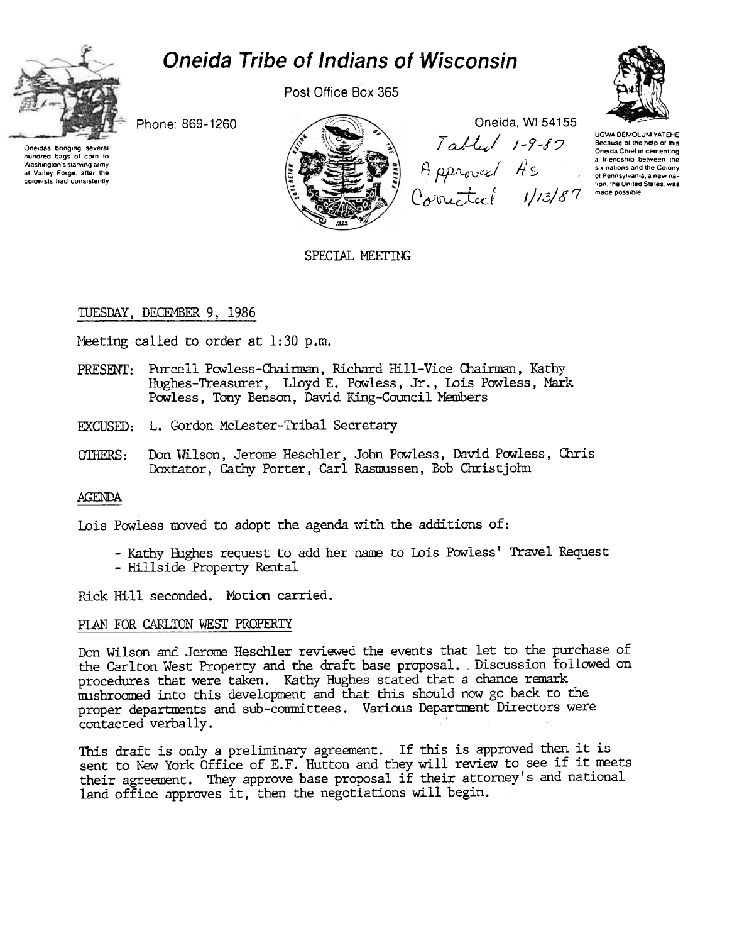# **Oneida Tribe of Indians of Wisconsin**



Post Office Box 365



Phone: 869-1260

das bringing severa hundred bags of corn to Washington's starving army at Valley Forge, after the colonists had consistently



Oneida, WI 54155

Tabled 1-9-80<br>Approved As<br>Corrected 1/13/87 **UGWA DEMOLUM YATEHE** Because of the help of this Oneida Chief in cementing a friendship between the six nations and the Colony of Pennsylvania, a new na tion, the United States, was made possible

SPECIAL MEETING

## TUESDAY, DECEMBER 9, 1986

Meeting called to order at 1:30 p.m.

- PRESENT: Purcell Powless-Chairman, Richard Hill-Vice Chairman, Kathy Hughes-Treasurer, Lloyd E. Powless, Jr., Lois Powless, Mark Powless, Tony Benson, David King-Council Members
- EXCUSED: L. Gordon McLester-Tribal Secretary
- Don Wilson, Jerome Heschler, John Powless, David Powless, Chris OTHERS: Doxtator, Cathy Porter, Carl Rasmussen, Bob Christjohn

## **AGENDA**

Lois Powless moved to adopt the agenda with the additions of:

- Kathy Hughes request to add her name to Lois Powless' Travel Request - Hillside Property Rental

Rick Hill seconded. Motion carried.

## PLAN FOR CARLTON WEST PROPERTY

Don Wilson and Jerome Heschler reviewed the events that let to the purchase of the Carlton West Property and the draft base proposal. Discussion followed on procedures that were taken. Kathy Hughes stated that a chance remark mushroomed into this development and that this should now go back to the proper departments and sub-committees. Various Department Directors were contacted verbally.

This draft is only a preliminary agreement. If this is approved then it is sent to New York Office of E.F. Hutton and they will review to see if it meets their agreement. They approve base proposal if their attorney's and national land office approves it, then the negotiations will begin.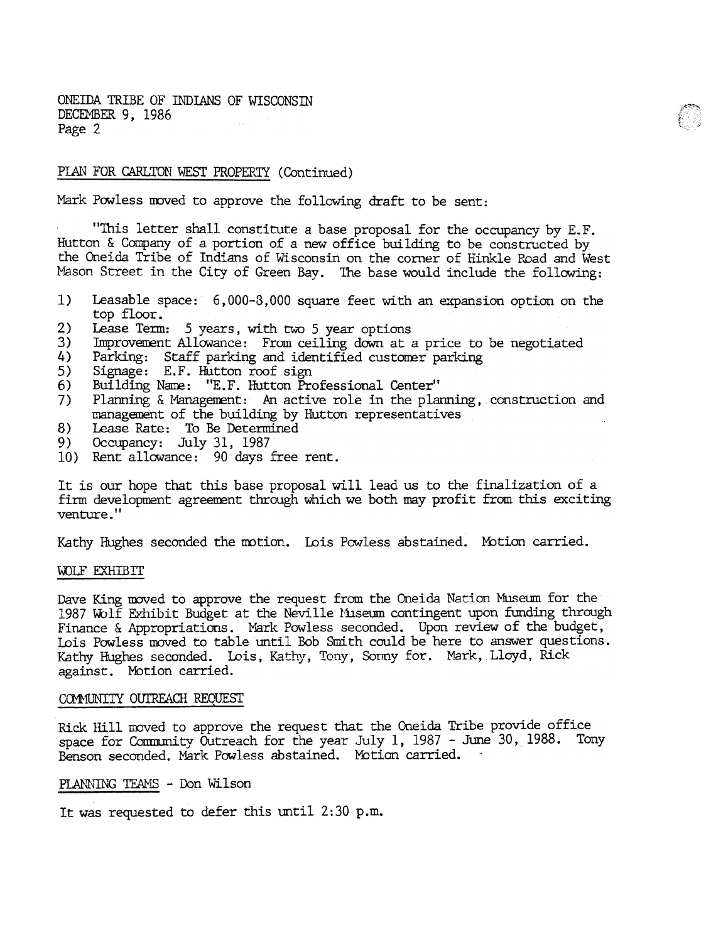ONEIDA TRIBE OF INDIANS OF WISCONSTN DECEMBER 9, 1986 Page 2

## PLAN FOR CARLTON WEST PROPERTY (Continued)

Mark Powless moved to approve the following draft to be sent:

"This letter shall constitute a base proposal for the occupancy by E.F. Hutton & Company of a portion of a new office building to be constructed by the Oneida Tribe of Indians of Wisconsin on the corner of Hinkle Road and West Mason Street in the City of Green Bay. The base would include the following:

- 1) Leasable space: 6,000-8,000 square feet with an expansion option on the top floor.
- 2) Lease Term: 5 years, with two 5 year options
- 3) Improvement Allowance: From ceiling down at a price to be negotiated
- 4) Parking: Staff parking and identified customer parking.
- 5) Signage: E.F. Hutton roof sign
- 6) Building Name: "E.F. Hutton Professional Center"
- 7) Planning  $\&$  Management: An active role in the planning, construction and management of the building by hutton representatives
- 8) Lease Rate: To Be Determined
- 9) Occupancy: July 31, 1987
- 10) Rent allowance: 90 days free rent.

It is our hope that this base proposal will lead us to the finalization of a firm development agreement through which we both may profit from this exciting venture."

Kathy Hughes seconded the motion. Lois Powless abstained. Motion carried.

#### WOLF EXHIBIT

Dave King moved to approve the request from the Oneida Nation Museum for the 1987 Wolf Exhibit Budget at the Neville Museum contingent upon funding through Finance & Appropriations. Mark Powless seconded. Upon review of the budget, Lois Powless moved to table until Bob Smith could be here to answer questions. Kathy Hughes seconded. Lois, Kathy, Tony, Sonny for. Mark, Lloyd, Rick against. Motion carried.

#### COMMUNITY OUTREACH REQUEST

Rick Hill moved to approve the request that the Oneida Tribe provide office space for Community Outreach for the year July 1,  $1987$  - June 30,  $1988$ . Tony Benson seconded. Mark Powless abstained. Motion carried.

## PLANNING TEAMS - Don Wilson

It was requested to defer this until 2:30 p.m.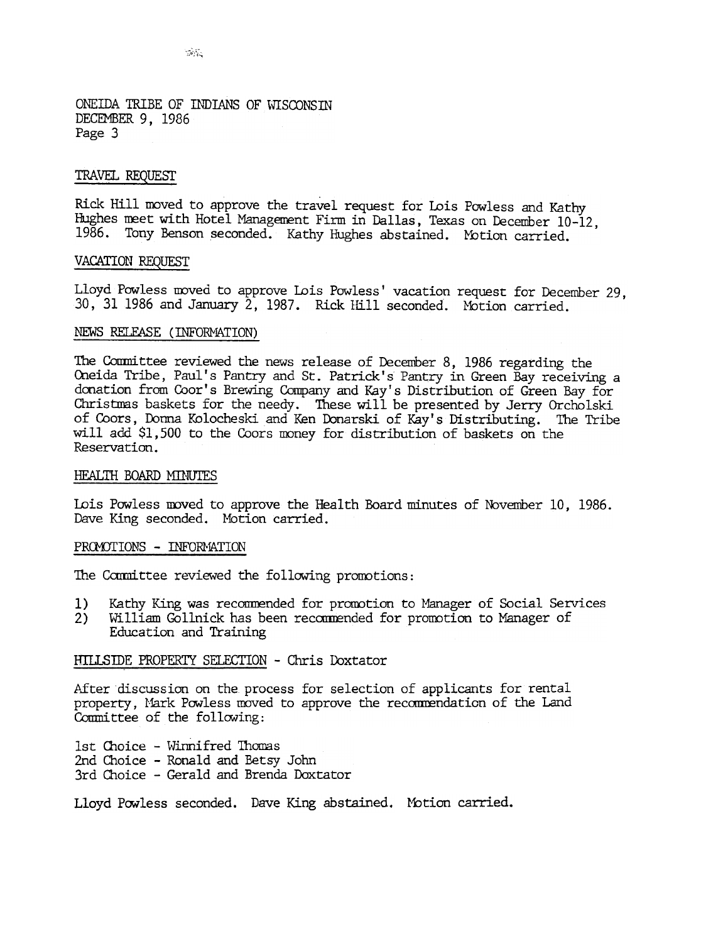ONEIDA TRIBE OF INDIANS OF WISCONSTN DECEMBER 9, 1986 Page 3

#### 'IRA VEL REQUESI'

Rick Hill moved to approve the travel request for Lois Powless and Kathy Hughes meet with Hotel Management Firm in Dallas, Texas on December 10-12, 1986. Tony Benson seconded. Kathy Hughes abstained. Motion carried.

#### VACATION REQUEST

Lloyd Powless moved to approve Lois Powless' vacation request for December 29, 30, 31 1986 and January 2, 1987. Rick Hill seconded. Motion carried.

### NEWS RELEASE (INFORMATION)

The Committee reviewed the news release of December 8, 1986 regarding the Oneida Tribe, Paul's Pantry and St. Patrick's Pantry in Green Bay receiving a donation from Coor's Brewing Company and Kay's Distribution of Green Bay for Christmas baskets for the needy. These will be presented by Jerry Orcholski of Coors, Donna Kolocheski and Ken Donarski of Kay's Distributing. The Tribe will add \$1,500 to the Coors money for distribution of baskets on the Reservation.

#### HEALTH BOARD MINUTES

Lois Powless moved to approve the Health Board minutes of November 10, 1986. Dave King seconded. Motion carried.

#### PROMOTIONS - INFORMATION

The Committee reviewed the following promotions:

- 1) Kathy King was recommended for promotion to Manager of Social Services
- 2) William Gollnick has been recommended for promotion to Manager of Education and Training

#### HILLSIDE PROPERTY SELECTION - Chris Doxtator

After discussion on the process for selection of applicants for rental property, Mark Powless moved to approve the recommendation of the Land Committee of the following:

1st Choice - Winnifred Thomas 2nd Choice -Ronald and Betsy John 3rd Choice - Gerald and Brenda Doxtator

Lloyd Powless seconded. Dave King abstained. Motion carried.

 $\mathcal{G}(\mathcal{G})$